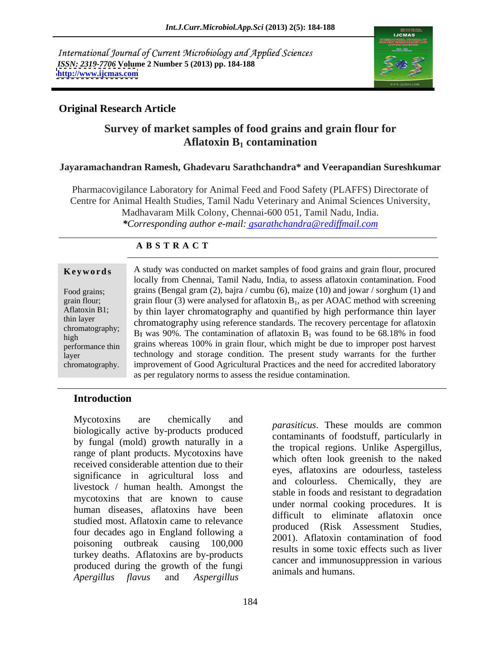International Journal of Current Microbiology and Applied Sciences *ISSN: 2319-7706* **Volume 2 Number 5 (2013) pp. 184-188 <http://www.ijcmas.com>**



## **Original Research Article**

# **Survey of market samples of food grains and grain flour for Aflatoxin B<sub>1</sub> contamination**

### **Jayaramachandran Ramesh, Ghadevaru Sarathchandra\* and Veerapandian Sureshkumar**

Pharmacovigilance Laboratory for Animal Feed and Food Safety (PLAFFS) Directorate of Centre for Animal Health Studies, Tamil Nadu Veterinary and Animal Sciences University, Madhavaram Milk Colony, Chennai-600 051, Tamil Nadu, India. *\*Corresponding author e-mail: gsarathchandra@rediffmail.com*

## **A B S T R A C T**

chromatography.

A study was conducted on market samples of food grains and grain flour, procured **Ke ywo rds** locally from Chennai, Tamil Nadu, India, to assess aflatoxin contamination. Food Food grains; grains (Bengal gram (2), bajra / cumbu (6), maize (10) and jowar / sorghum (1) and grain flour; grain flour (3) were analysed for aflatoxin  $B_1$ , as per AOAC method with screening Aflatoxin B1; by thin layer chromatography and quantified by high performance thin layer thin layer<br>chromatography using reference standards. The recovery percentage for aflatoxin chromatography; B<sub>1</sub> was 90%. The contamination of aflatoxin  $B_1$  was found to be 68.18% in food performance thin grains whereas 100% in grain flour, which might be due to improper post harvest layer technology and storage condition. The present study warrants for the further improvement of Good Agricultural Practices and the need for accredited laboratory as per regulatory norms to assess the residue contamination. high by  $\mathbf{D}$  by  $\mathbf{D}$  by  $\mathbf{D}$  by  $\mathbf{D}$  by  $\mathbf{D}$  by  $\mathbf{D}$  by  $\mathbf{D}$  by  $\mathbf{D}$  by  $\mathbf{D}$  by  $\mathbf{D}$  by  $\mathbf{D}$  by  $\mathbf{D}$  by  $\mathbf{D}$  by  $\mathbf{D}$  by  $\mathbf{D}$  by  $\mathbf{D}$  by  $\mathbf{D}$  by  $\mathbf{D}$ 

### **Introduction**

Mycotoxins are chemically and **non-setting** These moulds are common biologically active by-products produced by fungal (mold) growth naturally in a range of plant products. Mycotoxins have received considerable attention due to their significance in agricultural loss and livestock / human health. Amongst the mycotoxins that are known to cause human diseases, aflatoxins have been studied most. Aflatoxin came to relevance four decades ago in England following a poisoning outbreak causing 100,000 turkey deaths. Aflatoxins are by-products produced during the growth of the fungi *Apergillus flavus* and *Aspergillus* 

*parasiticus*. These moulds are common contaminants of foodstuff, particularly in the tropical regions. Unlike Aspergillus, which often look greenish to the naked eyes, aflatoxins are odourless, tasteless and colourless. Chemically, they are stable in foods and resistant to degradation under normal cooking procedures. It is difficult to eliminate aflatoxin once produced (Risk Assessment Studies, 2001). Aflatoxin contamination of food results in some toxic effects such as liver cancer and immunosuppression in various animals and humans.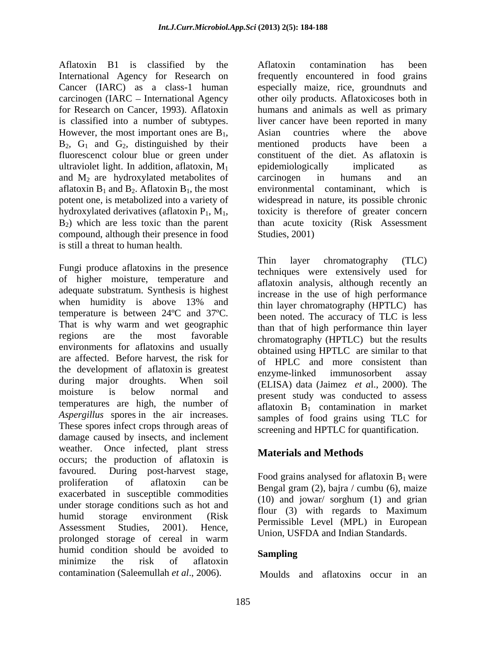Aflatoxin B1 is classified by the International Agency for Research on carcinogen (IARC – International Agency ultraviolet light. In addition, aflatoxin,  $M_1$  epidemiologically implicated as and  $M_2$  are hydroxylated metabolites of carcinogen in humans and an aflatoxin  $B_1$  and  $B_2$ . Aflatoxin  $B_1$ , the most<br>potent one, is metabolized into a variety of compound, although their presence in food Studies, 2001) is still a threat to human health.

of higher moisture, temperature and adequate substratum. Synthesis is highest when humidity is above 13% and  $\epsilon$  thin layer chromatography (HPTI C) has temperature is between 24ºC and 37ºC. That is why warm and wet geographic regions are the most favorable chromatography (HPTLC) but the results environments for aflatoxins and usually are affected. Before harvest, the risk for the development of aflatoxin is greatest enzyme-linked immunosorbent assay during major droughts. When soil (ELISA) data (Jaimez *et a*l., 2000). The moisture is below normal and present study was conducted to assess temperatures are high, the number of *Aspergillus* spores in the air increases. These spores infect crops through areas of damage caused by insects, and inclement weather. Once infected, plant stress occurs; the production of aflatoxin is favoured. During post-harvest stage, proliferation of aflatoxin can be  $\frac{1000 \text{ grams}}{\text{Bessel term (2) being (cymbu (6) mice}}$ exacerbated in susceptible commodities under storage conditions such as hot and<br>flour  $(3)$  with regards to Maximum humid storage environment (Risk Hour (5) with regards to Maximum<br>Assessment Studies 2001), Hence Assessment Studies, 2001). Hence, Union, USFDA and Indian Standards. prolonged storage of cereal in warm humid condition should be avoided to **Sampling** minimize the risk of aflatoxin

Cancer (IARC) as a class-1 human especially maize, rice, groundnuts and for Research on Cancer, 1993). Aflatoxin humans and animals as well as primary is classified into a number of subtypes. liver cancer have been reported in many However, the most important ones are  $B_1$ , Asian countries where the above  $B_2$ ,  $G_1$  and  $G_2$ , distinguished by their mentioned products have been a fluorescenct colour blue or green under constituent of the diet. As aflatoxin is potent one, is metabolized into a variety of widespread in nature, its possible chronic hydroxylated derivatives (aflatoxin  $P_1$ ,  $M_1$ , toxicity is therefore of greater concern  $B_2$ ) which are less toxic than the parent than acute toxicity (Risk Assessment Aflatoxin contamination has been frequently encountered in food grains other oily products. Aflatoxicoses both in Asian countries where the above mentioned products have been a epidemiologically implicated as carcinogen in humans and an environmental contaminant, which is toxicity is therefore of greater concern than acute toxicity (Risk Assessment Studies, 2001)

Fungi produce aflatoxins in the presence<br>the extensive variant extensively used for Thin layer chromatography (TLC) techniques were extensively used for aflatoxin analysis, although recently an increase in the use of high performance thin layer chromatography (HPTLC) has been noted. The accuracy of TLC is less than that of high performance thin layer obtained using HPTLC are similar to that of HPLC and more consistent than enzyme-linked immunosorbent assay present study was conducted to assess aflatoxin  $B_1$  contamination in market samples of food grains using TLC for screening and HPTLC for quantification.

## **Materials and Methods**

Food grains analysed for aflatoxin  $B_1$  were Bengal gram  $(2)$ , bajra / cumbu  $(6)$ , maize (10) and jowar/ sorghum (1) and grian flour (3) with regards to Maximum

## **Sampling**

contamination (Saleemullah *et al*., 2006). Moulds and aflatoxins occur in an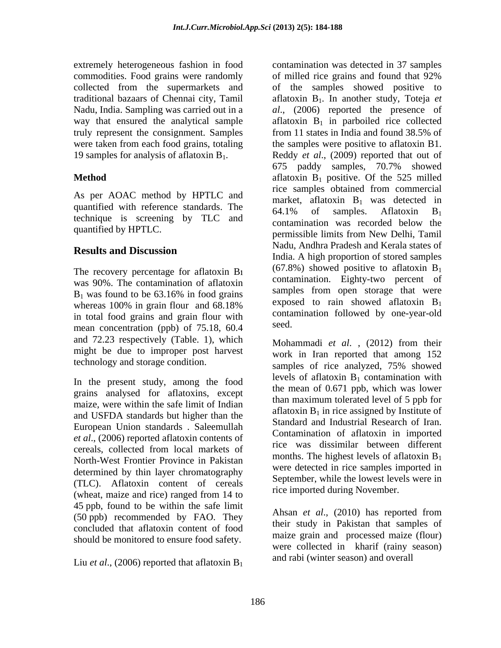extremely heterogeneous fashion in food commodities. Food grains were randomly of milled rice grains and found that 92% 19 samples for analysis of aflatoxin  $B_1$ .

As per AOAC method by HPTLC and quantified with reference standards. The  $\frac{1}{64.1\%}$  of samples. Aflatoxin  $B_1$ technique is screening by TLC and  $\overline{C}$  contamination was recorded below the

The recovery percentage for aflatoxin B was 90%. The contamination of aflatoxin whereas 100% in grain flour and 68.18% in total food grains and grain flour with  $\frac{\text{const}}{\text{seed}}$ mean concentration (ppb) of 75.18, 60.4 and 72.23 respectively (Table. 1), which Mohammadi et al., (2012) from their might be due to improper post harvest

In the present study, among the food grains analysed for aflatoxins, except maize, were within the safe limit of Indian and USFDA standards but higher than the European Union standards . Saleemullah *et al*., (2006) reported aflatoxin contents of North-West Frontier Province in Pakistan determined by thin layer chromatography (TLC). Aflatoxin content of cereals (wheat, maize and rice) ranged from 14 to 45 ppb, found to be within the safe limit (50 ppb) recommended by FAO. They concluded that aflatoxin content of food should be monitored to ensure food safety.

Liu *et al.*, (2006) reported that aflatoxin  $B_1$ 

collected from the supermarkets and of the samples showed positive to traditional bazaars of Chennai city, Tamil aflatoxin B<sub>1</sub>. In another study, Toteja et Nadu, India. Sampling was carried out in a *al*., (2006) reported the presence of way that ensured the analytical sample aflatoxin  $B_1$  in parboiled rice collected truly represent the consignment. Samples from 11 states in India and found 38.5% of were taken from each food grains, totaling the samples were positive to aflatoxin B1. **Method** aflatoxin B1 positive. Of the 525 milled quantified by HPTLC.<br>
permissible limits from New Delhi, Tamil **Results and Discussion**<br> **Results and Discussion**  $B_1$  was found to be 63.16% in food grains samples from open storage that were contamination was detected in 37 samples of milled rice grains and found that 92% Reddy *et al*., (2009) reported that out of 675 paddy samples, 70.7% showed rice samples obtained from commercial market, aflatoxin  $B_1$  was detected in 64.1% of samples. Aflatoxin  $B_1$ contamination was recorded below the Nadu, Andhra Pradesh and Kerala states of India. A high proportion of stored samples  $(67.8\%)$  showed positive to aflatoxin  $B_1$ contamination. Eighty-two percent of samples from open storage that were exposed to rain showed aflatoxin  $B_1$ contamination followed by one-year-old seed.

technology and storage condition.<br>samples of rice analyzed, 75% showed cereals, collected from local markets of the was unsultually between unteresting Mohammadi *et al*. , (2012) from their work in Iran reported that among 152 samples of rice analyzed, 75% showed levels of aflatoxin  $B_1$  contamination with the mean of 0.671 ppb, which was lower than maximum tolerated level of 5 ppb for aflatoxin  $B_1$  in rice assigned by Institute of Standard and Industrial Research of Iran. Contamination of aflatoxin in imported rice was dissimilar between different months. The highest levels of aflatoxin  $B_1$ were detected in rice samples imported in September, while the lowest levels were in rice imported during November.

> Ahsan *et al*., (2010) has reported from their study in Pakistan that samples of maize grain and processed maize (flour) were collected in kharif (rainy season) and rabi (winter season) and overall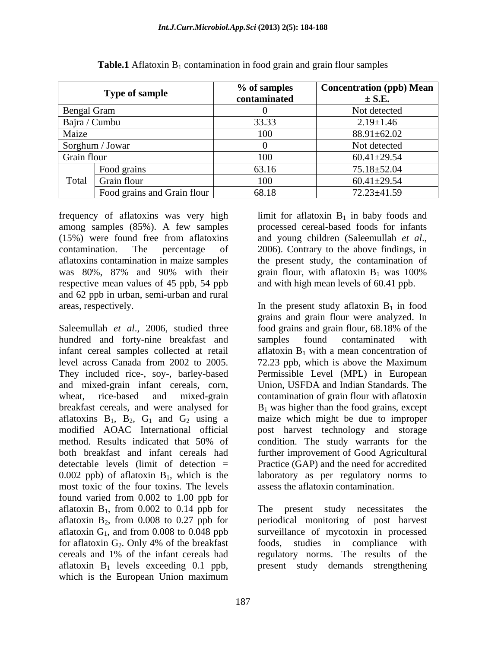|                 | <b>Type of sample</b>       | % of samples<br>contaminated | Concentration (ppb) Mean<br>$\pm$ S.E. |
|-----------------|-----------------------------|------------------------------|----------------------------------------|
| Bengal Gram     |                             |                              | Not detected                           |
| Bajra / Cumbu   |                             | 33.33                        | $2.19 \pm 1.46$                        |
| Maize           |                             | 100                          | $88.91 \pm 62.02$                      |
| Sorghum / Jowar |                             |                              | Not detected                           |
| Grain flour     |                             | 100                          | $60.41 \pm 29.54$                      |
|                 | Food grains                 | 63.16                        | 75.18±52.04                            |
|                 | Total Grain flour           | 100                          | $60.41 \pm 29.54$                      |
|                 | Food grains and Grain flour | 68.18                        | $72.23 \pm 41.59$                      |

| Table.1<br>nd grain flour san<br>$"$ tlotovin $-$<br>in food grain<br>mples<br>∩ntam<br>`unatıon :<br>D1.<br>IAWAIII<br>,,,,,,,, |  |
|----------------------------------------------------------------------------------------------------------------------------------|--|
|----------------------------------------------------------------------------------------------------------------------------------|--|

frequency of aflatoxins was very high  $\quad$  limit for aflatoxin  $B_1$  in baby foods and among samples (85%). A few samples (15%) were found free from aflatoxins and young children (Saleemullah et al., contamination. The percentage of 2006). Contrary to the above findings, in aflatoxins contamination in maize samples the present study, the contamination of was 80%, 87% and 90% with their grain flour, with aflatoxin  $B_1$  was 100% respective mean values of 45 ppb, 54 ppb and 62 ppb in urban, semi-urban and rural

Saleemullah *et al.*, 2006, studied three food grains and grain flour, 68.18% of the hundred and forty-nine breakfast and samples found contaminated with infant cereal samples collected at retail  $\qquad$  aflatoxin B<sub>1</sub> with a mean concentration of level across Canada from 2002 to 2005. 72.23 ppb, which is above the Maximum They included rice-, soy-, barley-based and mixed-grain infant cereals, corn, wheat, rice-based and mixed-grain contamination of grain flour with aflatoxin breakfast cereals, and were analysed for  $B_1$  was higher than the food grains, except aflatoxins  $B_1$ ,  $B_2$ ,  $G_1$  and  $G_2$  using a modified AOAC International official post harvest technology and storage method. Results indicated that 50% of condition. The study warrants for the both breakfast and infant cereals had further improvement of Good Agricultural detectable levels (limit of detection = Practice (GAP) and the need for accredited  $0.002$  ppb) of aflatoxin  $B_1$ , which is the laboratory as per regulatory norms to most toxic of the four toxins. The levels found varied from 0.002 to 1.00 ppb for aflatoxin  $B_1$ , from 0.002 to 0.14 ppb for The present study necessitates the aflatoxin  $B_2$ , from 0.008 to 0.27 ppb for periodical monitoring of post harvest aflatoxin  $G_1$ , and from 0.008 to 0.048 ppb surveillance of mycotoxin in processed for aflatoxin  $G_2$ . Only 4% of the breakfast foods, studies in compliance with cereals and 1% of the infant cereals had aflatoxin  $B_1$  levels exceeding 0.1 ppb, present study demands strengthening which is the European Union maximum

processed cereal-based foods for infants and young children (Saleemullah *et al*., 2006). Contrary to the above findings, in grain flour, with aflatoxin  $B_1$  was 100% and with high mean levels of 60.41 ppb.

areas, respectively.  $\qquad \qquad$  In the present study aflatoxin  $B_1$  in food grains and grain flour were analyzed. In food grains and grain flour, 68.18% of the samples found contaminated with Permissible Level (MPL) in European Union, USFDA and Indian Standards. The maize which might be due to improper condition. The study warrants for the assess the aflatoxin contamination.

> foods, studies in compliance with regulatory norms. The results of the present study demands strengthening